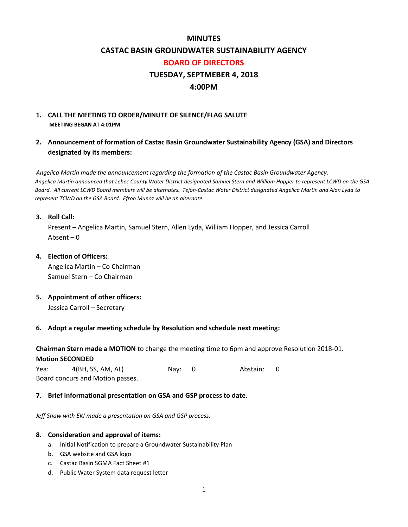#### **MINUTES**

#### **CASTAC BASIN GROUNDWATER SUSTAINABILITY AGENCY**

#### **BOARD OF DIRECTORS**

### **TUESDAY, SEPTMEBER 4, 2018**

#### **4:00PM**

#### **1. CALL THE MEETING TO ORDER/MINUTE OF SILENCE/FLAG SALUTE MEETING BEGAN AT 4:01PM**

**2. Announcement of formation of Castac Basin Groundwater Sustainability Agency (GSA) and Directors designated by its members:**

 *Angelica Martin made the announcement regarding the formation of the Castac Basin Groundwater Agency. Angelica Martin announced that Lebec County Water District designated Samuel Stern and William Hopper to represent LCWD on the GSA Board. All current LCWD Board members will be alternates. Tejon-Castac Water District designated Angelica Martin and Alan Lyda to represent TCWD on the GSA Board. Efron Munoz will be an alternate.*

#### **3. Roll Call:**

Present – Angelica Martin, Samuel Stern, Allen Lyda, William Hopper, and Jessica Carroll Absent – 0

#### **4. Election of Officers:**

Angelica Martin – Co Chairman Samuel Stern – Co Chairman

## **5. Appointment of other officers:**

Jessica Carroll – Secretary

#### **6. Adopt a regular meeting schedule by Resolution and schedule next meeting:**

**Chairman Stern made a MOTION** to change the meeting time to 6pm and approve Resolution 2018-01. **Motion SECONDED**

Yea: 4(BH, SS, AM, AL) Nay: 0 Abstain: 0 Board concurs and Motion passes.

#### **7. Brief informational presentation on GSA and GSP process to date.**

*Jeff Shaw with EKI made a presentation on GSA and GSP process.*

#### **8. Consideration and approval of items:**

- a. Initial Notification to prepare a Groundwater Sustainability Plan
- b. GSA website and GSA logo
- c. Castac Basin SGMA Fact Sheet #1
- d. Public Water System data request letter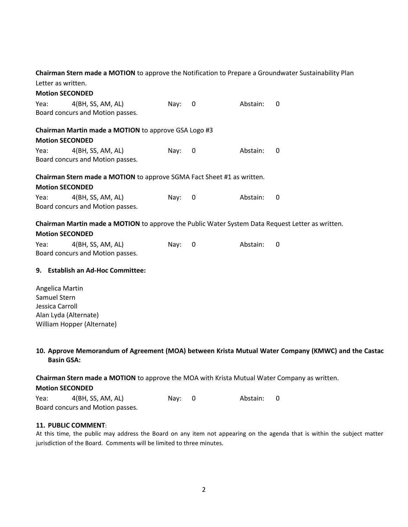## **Chairman Stern made a MOTION** to approve the Notification to Prepare a Groundwater Sustainability Plan

|      | Letter as written.                                                                               |          |   |          |   |  |
|------|--------------------------------------------------------------------------------------------------|----------|---|----------|---|--|
|      | <b>Motion SECONDED</b>                                                                           |          |   |          |   |  |
| Yea: | 4(BH, SS, AM, AL)                                                                                | Nay: $0$ |   | Abstain: | 0 |  |
|      | Board concurs and Motion passes.                                                                 |          |   |          |   |  |
|      | Chairman Martin made a MOTION to approve GSA Logo #3                                             |          |   |          |   |  |
|      | <b>Motion SECONDED</b>                                                                           |          |   |          |   |  |
| Yea: | 4(BH, SS, AM, AL)                                                                                | Nay:     | 0 | Abstain: | 0 |  |
|      | Board concurs and Motion passes.                                                                 |          |   |          |   |  |
|      | <b>Chairman Stern made a MOTION</b> to approve SGMA Fact Sheet #1 as written.                    |          |   |          |   |  |
|      | <b>Motion SECONDED</b>                                                                           |          |   |          |   |  |
| Yea: | 4(BH, SS, AM, AL)                                                                                | Nay:     | 0 | Abstain: | 0 |  |
|      | Board concurs and Motion passes.                                                                 |          |   |          |   |  |
|      | Chairman Martin made a MOTION to approve the Public Water System Data Request Letter as written. |          |   |          |   |  |
|      | <b>Motion SECONDED</b>                                                                           |          |   |          |   |  |
|      | 4(BH, SS, AM, AL)                                                                                | Nay:     | 0 | Abstain: | 0 |  |
| Yea: |                                                                                                  |          |   |          |   |  |

Angelica Martin Samuel Stern Jessica Carroll Alan Lyda (Alternate) William Hopper (Alternate)

#### **10. Approve Memorandum of Agreement (MOA) between Krista Mutual Water Company (KMWC) and the Castac Basin GSA:**

**Chairman Stern made a MOTION** to approve the MOA with Krista Mutual Water Company as written.

#### **Motion SECONDED**

| Yea: | 4(BH, SS, AM, AL)                | Nay: 0 | Abstain: 0 |  |
|------|----------------------------------|--------|------------|--|
|      | Board concurs and Motion passes. |        |            |  |

#### **11. PUBLIC COMMENT**:

At this time, the public may address the Board on any item not appearing on the agenda that is within the subject matter jurisdiction of the Board. Comments will be limited to three minutes.